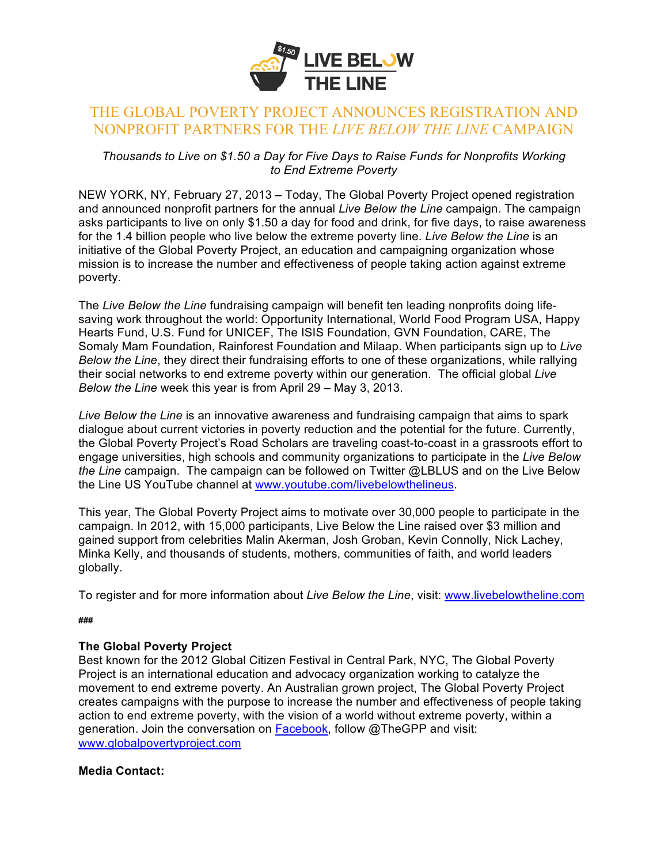

## THE GLOBAL POVERTY PROJECT ANNOUNCES REGISTRATION AND NONPROFIT PARTNERS FOR THE *LIVE BELOW THE LINE* CAMPAIGN

*Thousands to Live on \$1.50 a Day for Five Days to Raise Funds for Nonprofits Working to End Extreme Poverty* 

NEW YORK, NY, February 27, 2013 – Today, The Global Poverty Project opened registration and announced nonprofit partners for the annual *Live Below the Line* campaign. The campaign asks participants to live on only \$1.50 a day for food and drink, for five days, to raise awareness for the 1.4 billion people who live below the extreme poverty line. *Live Below the Line* is an initiative of the Global Poverty Project, an education and campaigning organization whose mission is to increase the number and effectiveness of people taking action against extreme poverty.

The *Live Below the Line* fundraising campaign will benefit ten leading nonprofits doing lifesaving work throughout the world: Opportunity International, World Food Program USA, Happy Hearts Fund, U.S. Fund for UNICEF, The ISIS Foundation, GVN Foundation, CARE, The Somaly Mam Foundation, Rainforest Foundation and Milaap. When participants sign up to *Live Below the Line*, they direct their fundraising efforts to one of these organizations, while rallying their social networks to end extreme poverty within our generation. The official global *Live Below the Line* week this year is from April 29 – May 3, 2013.

*Live Below the Line* is an innovative awareness and fundraising campaign that aims to spark dialogue about current victories in poverty reduction and the potential for the future. Currently, the Global Poverty Project's Road Scholars are traveling coast-to-coast in a grassroots effort to engage universities, high schools and community organizations to participate in the *Live Below the Line* campaign. The campaign can be followed on Twitter @LBLUS and on the Live Below the Line US YouTube channel at www.youtube.com/livebelowthelineus.

This year, The Global Poverty Project aims to motivate over 30,000 people to participate in the campaign. In 2012, with 15,000 participants, Live Below the Line raised over \$3 million and gained support from celebrities Malin Akerman, Josh Groban, Kevin Connolly, Nick Lachey, Minka Kelly, and thousands of students, mothers, communities of faith, and world leaders globally.

To register and for more information about *Live Below the Line*, visit: www.livebelowtheline.com

## **###**

## **The Global Poverty Project**

Best known for the 2012 Global Citizen Festival in Central Park, NYC, The Global Poverty Project is an international education and advocacy organization working to catalyze the movement to end extreme poverty. An Australian grown project, The Global Poverty Project creates campaigns with the purpose to increase the number and effectiveness of people taking action to end extreme poverty, with the vision of a world without extreme poverty, within a generation. Join the conversation on Facebook, follow @TheGPP and visit: www.globalpovertyproject.com

## **Media Contact:**